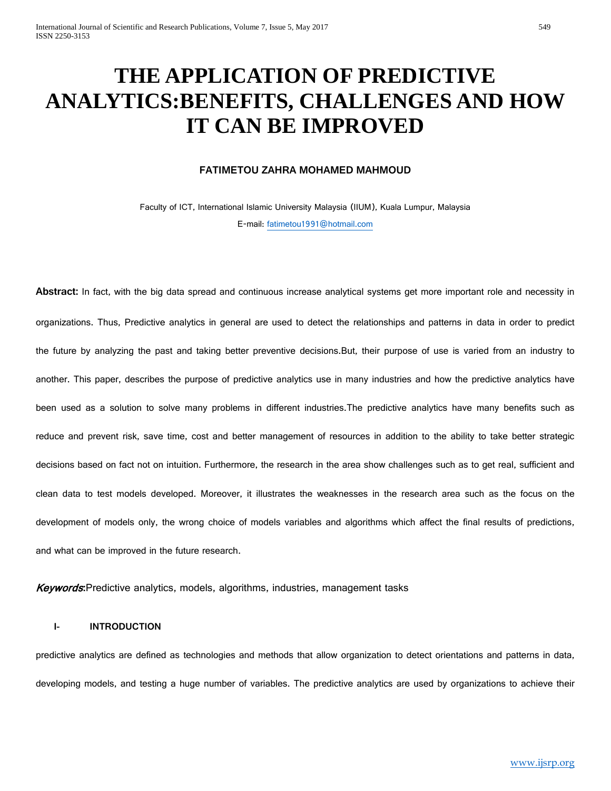# **THE APPLICATION OF PREDICTIVE ANALYTICS:BENEFITS, CHALLENGES AND HOW IT CAN BE IMPROVED**

#### **FATIMETOU ZAHRA MOHAMED MAHMOUD**

Faculty of ICT, International Islamic University Malaysia (IIUM), Kuala Lumpur, Malaysia E-mail: [fatimetou1991@hotmail.com](mailto:fatimetou1991@hotmail.com)

**Abstract:** In fact, with the big data spread and continuous increase analytical systems get more important role and necessity in organizations. Thus, Predictive analytics in general are used to detect the relationships and patterns in data in order to predict the future by analyzing the past and taking better preventive decisions.But, their purpose of use is varied from an industry to another. This paper, describes the purpose of predictive analytics use in many industries and how the predictive analytics have been used as a solution to solve many problems in different industries.The predictive analytics have many benefits such as reduce and prevent risk, save time, cost and better management of resources in addition to the ability to take better strategic decisions based on fact not on intuition. Furthermore, the research in the area show challenges such as to get real, sufficient and clean data to test models developed. Moreover, it illustrates the weaknesses in the research area such as the focus on the development of models only, the wrong choice of models variables and algorithms which affect the final results of predictions, and what can be improved in the future research.

Keywords**:**Predictive analytics, models, algorithms, industries, management tasks

#### **I- INTRODUCTION**

predictive analytics are defined as technologies and methods that allow organization to detect orientations and patterns in data, developing models, and testing a huge number of variables. The predictive analytics are used by organizations to achieve their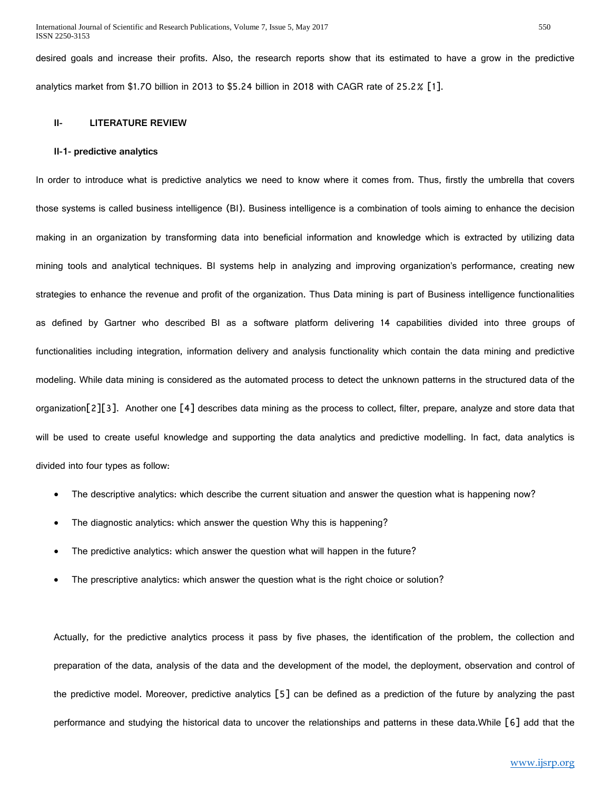desired goals and increase their profits. Also, the research reports show that its estimated to have a grow in the predictive analytics market from \$1.70 billion in 2013 to \$5.24 billion in 2018 with CAGR rate of 25.2% [1].

#### **II- LITERATURE REVIEW**

#### **II-1- predictive analytics**

In order to introduce what is predictive analytics we need to know where it comes from. Thus, firstly the umbrella that covers those systems is called business intelligence (BI). Business intelligence is a combination of tools aiming to enhance the decision making in an organization by transforming data into beneficial information and knowledge which is extracted by utilizing data mining tools and analytical techniques. BI systems help in analyzing and improving organization's performance, creating new strategies to enhance the revenue and profit of the organization. Thus Data mining is part of Business intelligence functionalities as defined by Gartner who described BI as a software platform delivering 14 capabilities divided into three groups of functionalities including integration, information delivery and analysis functionality which contain the data mining and predictive modeling. While data mining is considered as the automated process to detect the unknown patterns in the structured data of the organization[2][3]. Another one [4] describes data mining as the process to collect, filter, prepare, analyze and store data that will be used to create useful knowledge and supporting the data analytics and predictive modelling. In fact, data analytics is divided into four types as follow:

- The descriptive analytics: which describe the current situation and answer the question what is happening now?
- The diagnostic analytics: which answer the question Why this is happening?
- The predictive analytics: which answer the question what will happen in the future?
- The prescriptive analytics: which answer the question what is the right choice or solution?

Actually, for the predictive analytics process it pass by five phases, the identification of the problem, the collection and preparation of the data, analysis of the data and the development of the model, the deployment, observation and control of the predictive model. Moreover, predictive analytics [5] can be defined as a prediction of the future by analyzing the past performance and studying the historical data to uncover the relationships and patterns in these data.While [6] add that the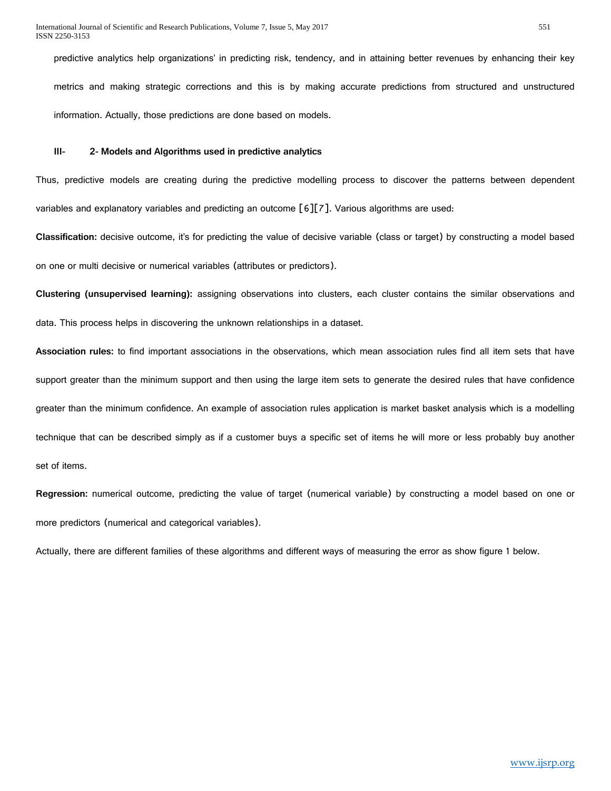predictive analytics help organizations' in predicting risk, tendency, and in attaining better revenues by enhancing their key metrics and making strategic corrections and this is by making accurate predictions from structured and unstructured information. Actually, those predictions are done based on models.

#### **III- 2- Models and Algorithms used in predictive analytics**

Thus, predictive models are creating during the predictive modelling process to discover the patterns between dependent variables and explanatory variables and predicting an outcome [6][7]. Various algorithms are used:

**Classification:** decisive outcome, it's for predicting the value of decisive variable (class or target) by constructing a model based on one or multi decisive or numerical variables (attributes or predictors).

**Clustering (unsupervised learning):** assigning observations into clusters, each cluster contains the similar observations and data. This process helps in discovering the unknown relationships in a dataset.

**Association rules:** to find important associations in the observations, which mean association rules find all item sets that have support greater than the minimum support and then using the large item sets to generate the desired rules that have confidence greater than the minimum confidence. An example of association rules application is market basket analysis which is a modelling technique that can be described simply as if a customer buys a specific set of items he will more or less probably buy another set of items.

**Regression:** numerical outcome, predicting the value of target (numerical variable) by constructing a model based on one or more predictors (numerical and categorical variables).

Actually, there are different families of these algorithms and different ways of measuring the error as show figure 1 below.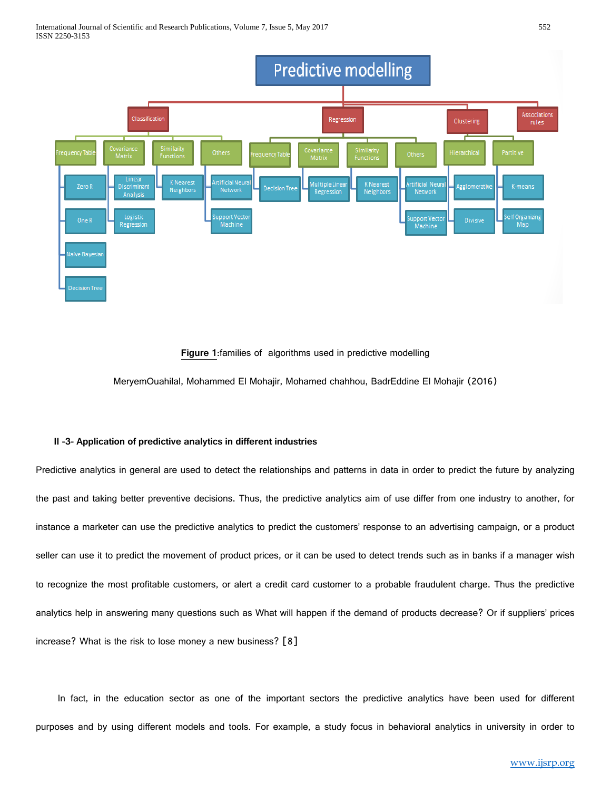

#### **Figure 1**:families of algorithms used in predictive modelling

MeryemOuahilal, Mohammed El Mohajir, Mohamed chahhou, BadrEddine El Mohajir (2016)

#### **II -3- Application of predictive analytics in different industries**

Predictive analytics in general are used to detect the relationships and patterns in data in order to predict the future by analyzing the past and taking better preventive decisions. Thus, the predictive analytics aim of use differ from one industry to another, for instance a marketer can use the predictive analytics to predict the customers' response to an advertising campaign, or a product seller can use it to predict the movement of product prices, or it can be used to detect trends such as in banks if a manager wish to recognize the most profitable customers, or alert a credit card customer to a probable fraudulent charge. Thus the predictive analytics help in answering many questions such as What will happen if the demand of products decrease? Or if suppliers' prices increase? What is the risk to lose money a new business? [8]

 In fact, in the education sector as one of the important sectors the predictive analytics have been used for different purposes and by using different models and tools. For example, a study focus in behavioral analytics in university in order to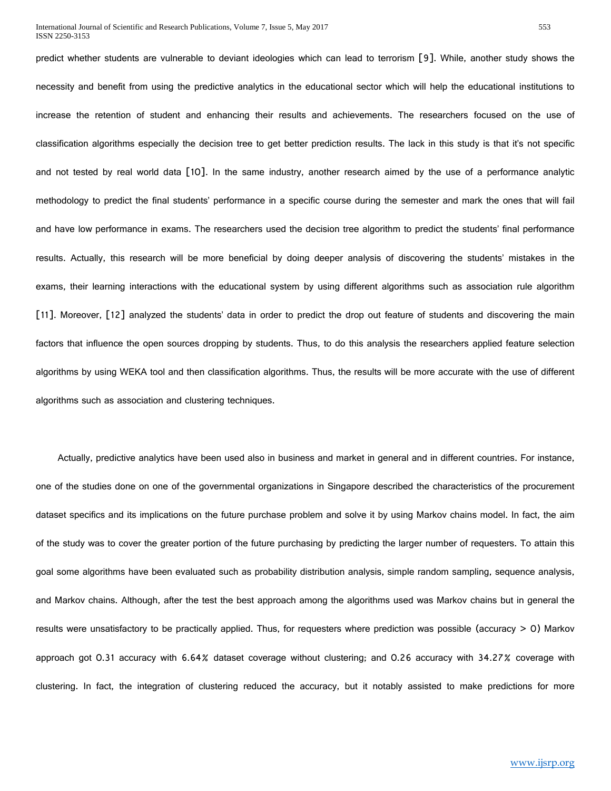predict whether students are vulnerable to deviant ideologies which can lead to terrorism [9]. While, another study shows the necessity and benefit from using the predictive analytics in the educational sector which will help the educational institutions to increase the retention of student and enhancing their results and achievements. The researchers focused on the use of classification algorithms especially the decision tree to get better prediction results. The lack in this study is that it's not specific and not tested by real world data [10]. In the same industry, another research aimed by the use of a performance analytic methodology to predict the final students' performance in a specific course during the semester and mark the ones that will fail and have low performance in exams. The researchers used the decision tree algorithm to predict the students' final performance results. Actually, this research will be more beneficial by doing deeper analysis of discovering the students' mistakes in the exams, their learning interactions with the educational system by using different algorithms such as association rule algorithm [11]. Moreover, [12] analyzed the students' data in order to predict the drop out feature of students and discovering the main factors that influence the open sources dropping by students. Thus, to do this analysis the researchers applied feature selection algorithms by using WEKA tool and then classification algorithms. Thus, the results will be more accurate with the use of different algorithms such as association and clustering techniques.

 Actually, predictive analytics have been used also in business and market in general and in different countries. For instance, one of the studies done on one of the governmental organizations in Singapore described the characteristics of the procurement dataset specifics and its implications on the future purchase problem and solve it by using Markov chains model. In fact, the aim of the study was to cover the greater portion of the future purchasing by predicting the larger number of requesters. To attain this goal some algorithms have been evaluated such as probability distribution analysis, simple random sampling, sequence analysis, and Markov chains. Although, after the test the best approach among the algorithms used was Markov chains but in general the results were unsatisfactory to be practically applied. Thus, for requesters where prediction was possible (accuracy > 0) Markov approach got 0.31 accuracy with 6.64% dataset coverage without clustering; and 0.26 accuracy with 34.27% coverage with clustering. In fact, the integration of clustering reduced the accuracy, but it notably assisted to make predictions for more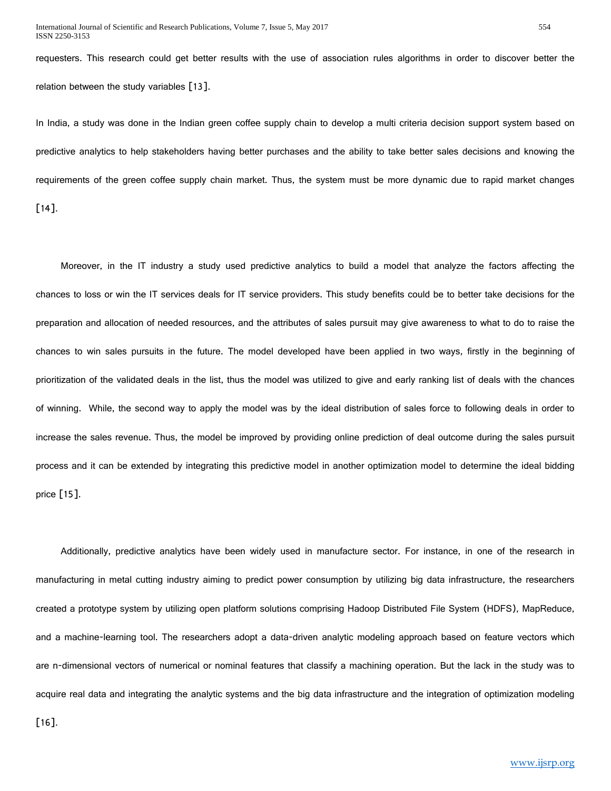requesters. This research could get better results with the use of association rules algorithms in order to discover better the relation between the study variables [13].

In India, a study was done in the Indian green coffee supply chain to develop a multi criteria decision support system based on predictive analytics to help stakeholders having better purchases and the ability to take better sales decisions and knowing the requirements of the green coffee supply chain market. Thus, the system must be more dynamic due to rapid market changes [14].

 Moreover, in the IT industry a study used predictive analytics to build a model that analyze the factors affecting the chances to loss or win the IT services deals for IT service providers. This study benefits could be to better take decisions for the preparation and allocation of needed resources, and the attributes of sales pursuit may give awareness to what to do to raise the chances to win sales pursuits in the future. The model developed have been applied in two ways, firstly in the beginning of prioritization of the validated deals in the list, thus the model was utilized to give and early ranking list of deals with the chances of winning. While, the second way to apply the model was by the ideal distribution of sales force to following deals in order to increase the sales revenue. Thus, the model be improved by providing online prediction of deal outcome during the sales pursuit process and it can be extended by integrating this predictive model in another optimization model to determine the ideal bidding price [15].

 Additionally, predictive analytics have been widely used in manufacture sector. For instance, in one of the research in manufacturing in metal cutting industry aiming to predict power consumption by utilizing big data infrastructure, the researchers created a prototype system by utilizing open platform solutions comprising Hadoop Distributed File System (HDFS), MapReduce, and a machine-learning tool. The researchers adopt a data-driven analytic modeling approach based on feature vectors which are n-dimensional vectors of numerical or nominal features that classify a machining operation. But the lack in the study was to acquire real data and integrating the analytic systems and the big data infrastructure and the integration of optimization modeling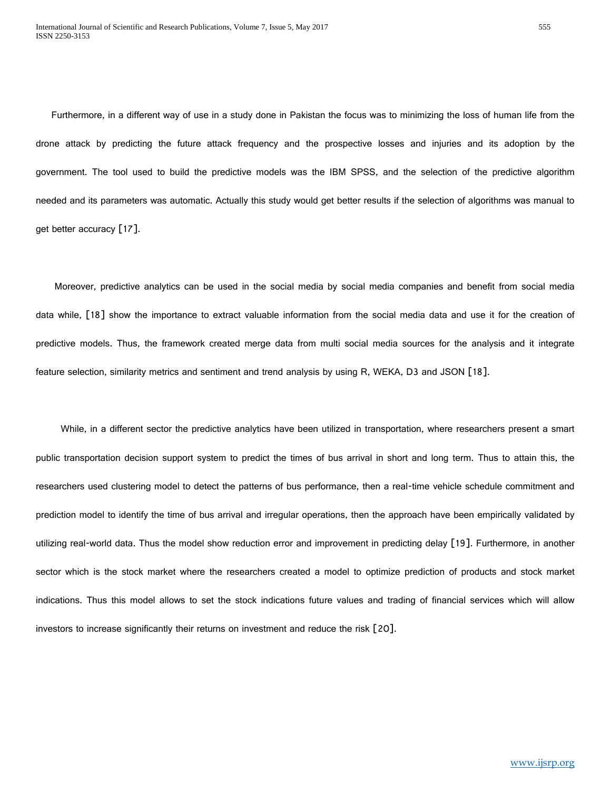Furthermore, in a different way of use in a study done in Pakistan the focus was to minimizing the loss of human life from the drone attack by predicting the future attack frequency and the prospective losses and injuries and its adoption by the government. The tool used to build the predictive models was the IBM SPSS, and the selection of the predictive algorithm needed and its parameters was automatic. Actually this study would get better results if the selection of algorithms was manual to get better accuracy [17].

 Moreover, predictive analytics can be used in the social media by social media companies and benefit from social media data while, [18] show the importance to extract valuable information from the social media data and use it for the creation of predictive models. Thus, the framework created merge data from multi social media sources for the analysis and it integrate feature selection, similarity metrics and sentiment and trend analysis by using R, WEKA, D3 and JSON [18].

 While, in a different sector the predictive analytics have been utilized in transportation, where researchers present a smart public transportation decision support system to predict the times of bus arrival in short and long term. Thus to attain this, the researchers used clustering model to detect the patterns of bus performance, then a real-time vehicle schedule commitment and prediction model to identify the time of bus arrival and irregular operations, then the approach have been empirically validated by utilizing real-world data. Thus the model show reduction error and improvement in predicting delay [19]. Furthermore, in another sector which is the stock market where the researchers created a model to optimize prediction of products and stock market indications. Thus this model allows to set the stock indications future values and trading of financial services which will allow investors to increase significantly their returns on investment and reduce the risk [20].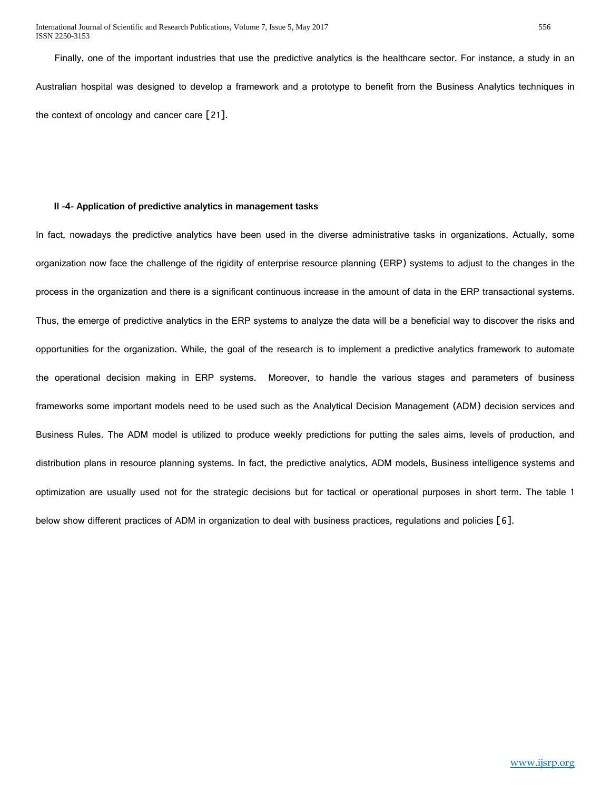International Journal of Scientific and Research Publications, Volume 7, Issue 5, May 2017 556 ISSN 2250-3153

 Finally, one of the important industries that use the predictive analytics is the healthcare sector. For instance, a study in an Australian hospital was designed to develop a framework and a prototype to benefit from the Business Analytics techniques in the context of oncology and cancer care [21].

#### **II -4- Application of predictive analytics in management tasks**

In fact, nowadays the predictive analytics have been used in the diverse administrative tasks in organizations. Actually, some organization now face the challenge of the rigidity of enterprise resource planning (ERP) systems to adjust to the changes in the process in the organization and there is a significant continuous increase in the amount of data in the ERP transactional systems. Thus, the emerge of predictive analytics in the ERP systems to analyze the data will be a beneficial way to discover the risks and opportunities for the organization. While, the goal of the research is to implement a predictive analytics framework to automate the operational decision making in ERP systems. Moreover, to handle the various stages and parameters of business frameworks some important models need to be used such as the Analytical Decision Management (ADM) decision services and Business Rules. The ADM model is utilized to produce weekly predictions for putting the sales aims, levels of production, and distribution plans in resource planning systems. In fact, the predictive analytics, ADM models, Business intelligence systems and optimization are usually used not for the strategic decisions but for tactical or operational purposes in short term. The table 1 below show different practices of ADM in organization to deal with business practices, regulations and policies [6].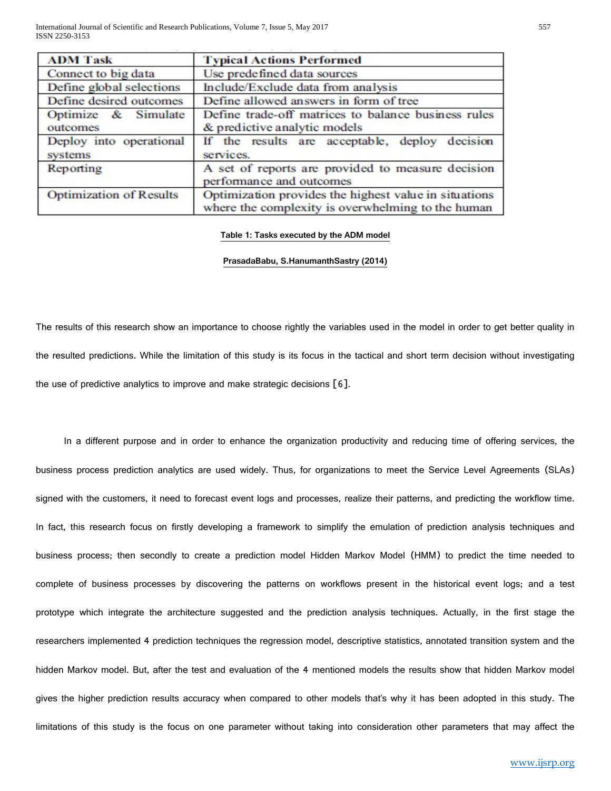| <b>ADM Task</b>                    | <b>Typical Actions Performed</b>                                                                           |  |
|------------------------------------|------------------------------------------------------------------------------------------------------------|--|
| Connect to big data                | Use predefined data sources                                                                                |  |
| Define global selections           | Include/Exclude data from analysis                                                                         |  |
| Define desired outcomes            | Define allowed answers in form of tree                                                                     |  |
| Optimize & Simulate<br>outcomes    | Define trade-off matrices to balance business rules<br>& predictive analytic models                        |  |
| Deploy into operational<br>systems | If the results are acceptable, deploy decision<br>services.                                                |  |
| Reporting                          | A set of reports are provided to measure decision<br>performance and outcomes                              |  |
| <b>Optimization of Results</b>     | Optimization provides the highest value in situations<br>where the complexity is overwhelming to the human |  |

#### **Table 1: Tasks executed by the ADM model**

#### **PrasadaBabu, S.HanumanthSastry (2014)**

The results of this research show an importance to choose rightly the variables used in the model in order to get better quality in the resulted predictions. While the limitation of this study is its focus in the tactical and short term decision without investigating the use of predictive analytics to improve and make strategic decisions [6].

 In a different purpose and in order to enhance the organization productivity and reducing time of offering services, the business process prediction analytics are used widely. Thus, for organizations to meet the Service Level Agreements (SLAs) signed with the customers, it need to forecast event logs and processes, realize their patterns, and predicting the workflow time. In fact, this research focus on firstly developing a framework to simplify the emulation of prediction analysis techniques and business process; then secondly to create a prediction model Hidden Markov Model (HMM) to predict the time needed to complete of business processes by discovering the patterns on workflows present in the historical event logs; and a test prototype which integrate the architecture suggested and the prediction analysis techniques. Actually, in the first stage the researchers implemented 4 prediction techniques the regression model, descriptive statistics, annotated transition system and the hidden Markov model. But, after the test and evaluation of the 4 mentioned models the results show that hidden Markov model gives the higher prediction results accuracy when compared to other models that's why it has been adopted in this study. The limitations of this study is the focus on one parameter without taking into consideration other parameters that may affect the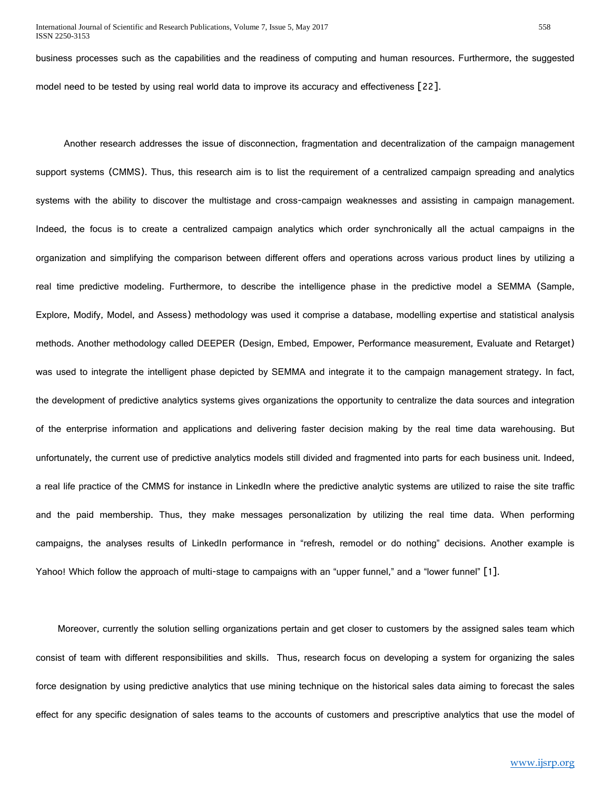business processes such as the capabilities and the readiness of computing and human resources. Furthermore, the suggested model need to be tested by using real world data to improve its accuracy and effectiveness [22].

 Another research addresses the issue of disconnection, fragmentation and decentralization of the campaign management support systems (CMMS). Thus, this research aim is to list the requirement of a centralized campaign spreading and analytics systems with the ability to discover the multistage and cross-campaign weaknesses and assisting in campaign management. Indeed, the focus is to create a centralized campaign analytics which order synchronically all the actual campaigns in the organization and simplifying the comparison between different offers and operations across various product lines by utilizing a real time predictive modeling. Furthermore, to describe the intelligence phase in the predictive model a SEMMA (Sample, Explore, Modify, Model, and Assess) methodology was used it comprise a database, modelling expertise and statistical analysis methods. Another methodology called DEEPER (Design, Embed, Empower, Performance measurement, Evaluate and Retarget) was used to integrate the intelligent phase depicted by SEMMA and integrate it to the campaign management strategy. In fact, the development of predictive analytics systems gives organizations the opportunity to centralize the data sources and integration of the enterprise information and applications and delivering faster decision making by the real time data warehousing. But unfortunately, the current use of predictive analytics models still divided and fragmented into parts for each business unit. Indeed, a real life practice of the CMMS for instance in LinkedIn where the predictive analytic systems are utilized to raise the site traffic and the paid membership. Thus, they make messages personalization by utilizing the real time data. When performing campaigns, the analyses results of LinkedIn performance in "refresh, remodel or do nothing" decisions. Another example is Yahoo! Which follow the approach of multi-stage to campaigns with an "upper funnel," and a "lower funnel" [1].

 Moreover, currently the solution selling organizations pertain and get closer to customers by the assigned sales team which consist of team with different responsibilities and skills. Thus, research focus on developing a system for organizing the sales force designation by using predictive analytics that use mining technique on the historical sales data aiming to forecast the sales effect for any specific designation of sales teams to the accounts of customers and prescriptive analytics that use the model of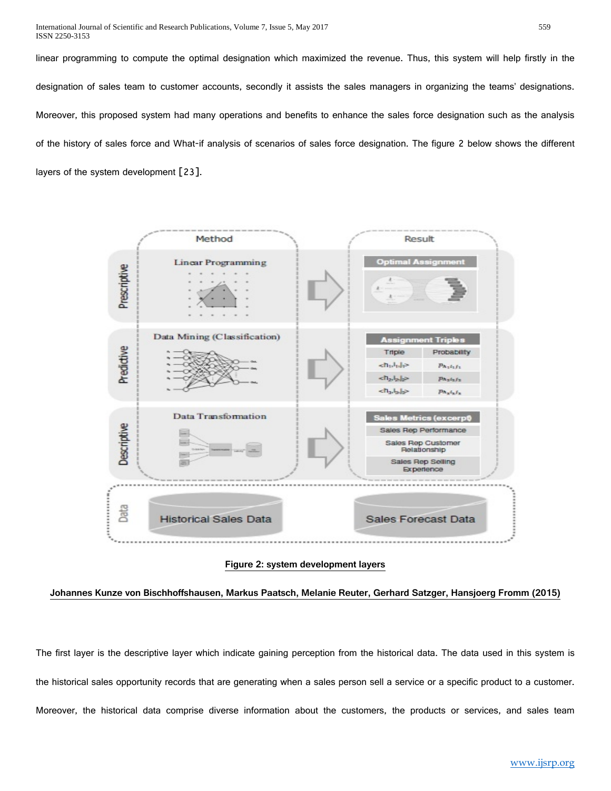linear programming to compute the optimal designation which maximized the revenue. Thus, this system will help firstly in the designation of sales team to customer accounts, secondly it assists the sales managers in organizing the teams' designations. Moreover, this proposed system had many operations and benefits to enhance the sales force designation such as the analysis of the history of sales force and What-if analysis of scenarios of sales force designation. The figure 2 below shows the different layers of the system development [23].



#### **Figure 2: system development layers**

**Johannes Kunze von Bischhoffshausen, Markus Paatsch, Melanie Reuter, Gerhard Satzger, Hansjoerg Fromm (2015)**

The first layer is the descriptive layer which indicate gaining perception from the historical data. The data used in this system is the historical sales opportunity records that are generating when a sales person sell a service or a specific product to a customer. Moreover, the historical data comprise diverse information about the customers, the products or services, and sales team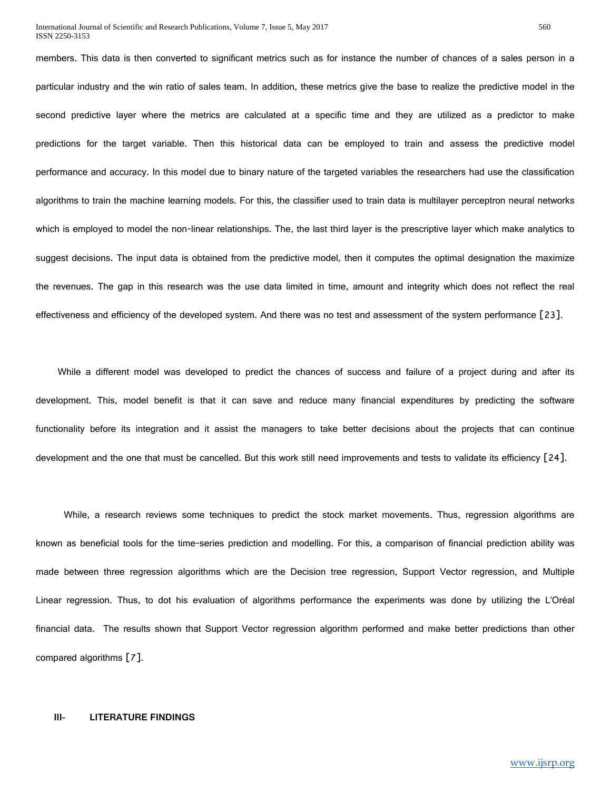members. This data is then converted to significant metrics such as for instance the number of chances of a sales person in a particular industry and the win ratio of sales team. In addition, these metrics give the base to realize the predictive model in the second predictive layer where the metrics are calculated at a specific time and they are utilized as a predictor to make predictions for the target variable. Then this historical data can be employed to train and assess the predictive model performance and accuracy. In this model due to binary nature of the targeted variables the researchers had use the classification algorithms to train the machine learning models. For this, the classifier used to train data is multilayer perceptron neural networks which is employed to model the non-linear relationships. The, the last third layer is the prescriptive layer which make analytics to suggest decisions. The input data is obtained from the predictive model, then it computes the optimal designation the maximize the revenues. The gap in this research was the use data limited in time, amount and integrity which does not reflect the real effectiveness and efficiency of the developed system. And there was no test and assessment of the system performance [23].

 While a different model was developed to predict the chances of success and failure of a project during and after its development. This, model benefit is that it can save and reduce many financial expenditures by predicting the software functionality before its integration and it assist the managers to take better decisions about the projects that can continue development and the one that must be cancelled. But this work still need improvements and tests to validate its efficiency [24].

 While, a research reviews some techniques to predict the stock market movements. Thus, regression algorithms are known as beneficial tools for the time-series prediction and modelling. For this, a comparison of financial prediction ability was made between three regression algorithms which are the Decision tree regression, Support Vector regression, and Multiple Linear regression. Thus, to dot his evaluation of algorithms performance the experiments was done by utilizing the L'Oréal financial data. The results shown that Support Vector regression algorithm performed and make better predictions than other compared algorithms [7].

#### **III- LITERATURE FINDINGS**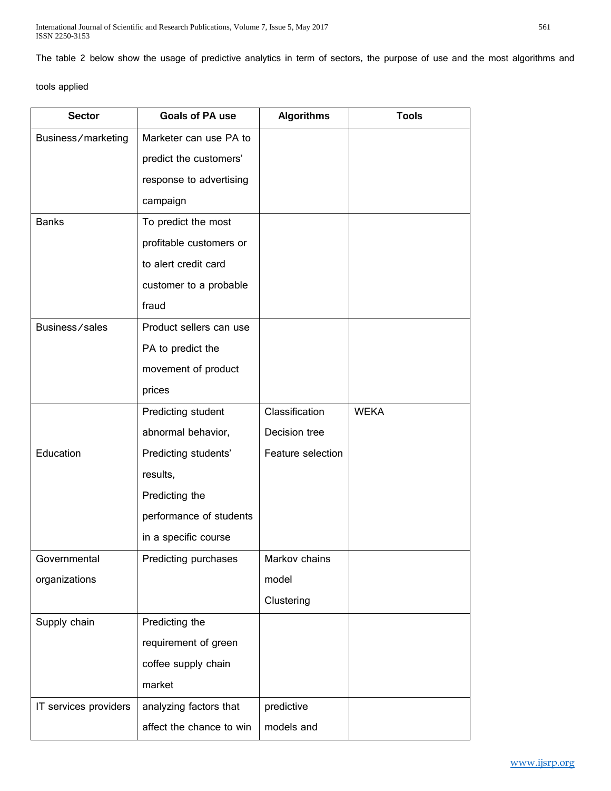The table 2 below show the usage of predictive analytics in term of sectors, the purpose of use and the most algorithms and

tools applied

| <b>Sector</b>         | <b>Goals of PA use</b>   | <b>Algorithms</b> | <b>Tools</b> |
|-----------------------|--------------------------|-------------------|--------------|
| Business/marketing    | Marketer can use PA to   |                   |              |
|                       | predict the customers'   |                   |              |
|                       | response to advertising  |                   |              |
|                       | campaign                 |                   |              |
| <b>Banks</b>          | To predict the most      |                   |              |
|                       | profitable customers or  |                   |              |
|                       | to alert credit card     |                   |              |
|                       | customer to a probable   |                   |              |
|                       | fraud                    |                   |              |
| Business/sales        | Product sellers can use  |                   |              |
|                       | PA to predict the        |                   |              |
|                       | movement of product      |                   |              |
|                       | prices                   |                   |              |
|                       | Predicting student       | Classification    | <b>WEKA</b>  |
|                       | abnormal behavior,       | Decision tree     |              |
| Education             | Predicting students'     | Feature selection |              |
|                       | results,                 |                   |              |
|                       | Predicting the           |                   |              |
|                       | performance of students  |                   |              |
|                       | in a specific course     |                   |              |
| Governmental          | Predicting purchases     | Markov chains     |              |
| organizations         |                          | model             |              |
|                       |                          | Clustering        |              |
| Supply chain          | Predicting the           |                   |              |
|                       | requirement of green     |                   |              |
|                       | coffee supply chain      |                   |              |
|                       | market                   |                   |              |
| IT services providers | analyzing factors that   | predictive        |              |
|                       | affect the chance to win | models and        |              |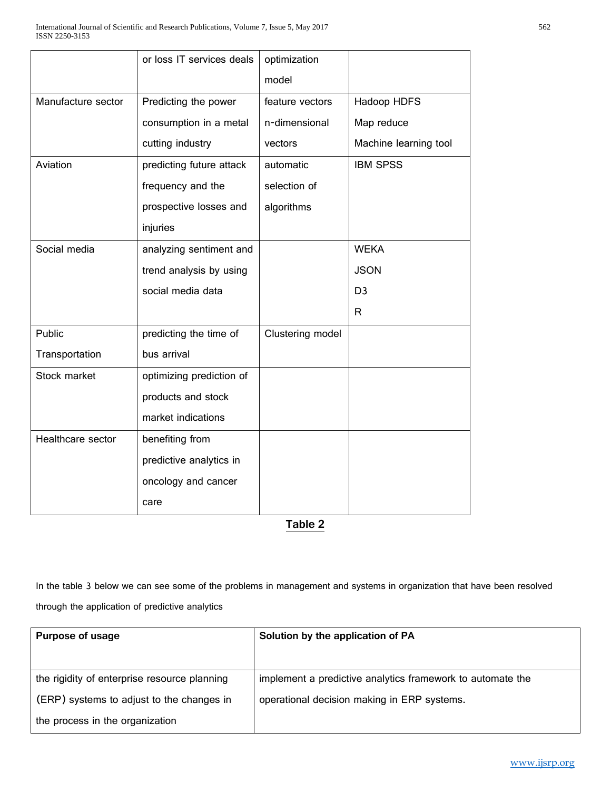|                    | or loss IT services deals | optimization     |                       |
|--------------------|---------------------------|------------------|-----------------------|
|                    |                           | model            |                       |
| Manufacture sector | Predicting the power      | feature vectors  | Hadoop HDFS           |
|                    | consumption in a metal    | n-dimensional    | Map reduce            |
|                    | cutting industry          | vectors          | Machine learning tool |
| Aviation           | predicting future attack  | automatic        | <b>IBM SPSS</b>       |
|                    | frequency and the         | selection of     |                       |
|                    | prospective losses and    | algorithms       |                       |
|                    | injuries                  |                  |                       |
| Social media       | analyzing sentiment and   |                  | <b>WEKA</b>           |
|                    | trend analysis by using   |                  | <b>JSON</b>           |
|                    | social media data         |                  | D <sub>3</sub>        |
|                    |                           |                  | R                     |
| Public             | predicting the time of    | Clustering model |                       |
| Transportation     | bus arrival               |                  |                       |
| Stock market       | optimizing prediction of  |                  |                       |
|                    | products and stock        |                  |                       |
|                    | market indications        |                  |                       |
| Healthcare sector  | benefiting from           |                  |                       |
|                    | predictive analytics in   |                  |                       |
|                    | oncology and cancer       |                  |                       |
|                    | care                      |                  |                       |

**Table 2**

In the table 3 below we can see some of the problems in management and systems in organization that have been resolved through the application of predictive analytics

| <b>Purpose of usage</b>                      | Solution by the application of PA                          |
|----------------------------------------------|------------------------------------------------------------|
|                                              |                                                            |
| the rigidity of enterprise resource planning | implement a predictive analytics framework to automate the |
| (ERP) systems to adjust to the changes in    | operational decision making in ERP systems.                |
| the process in the organization              |                                                            |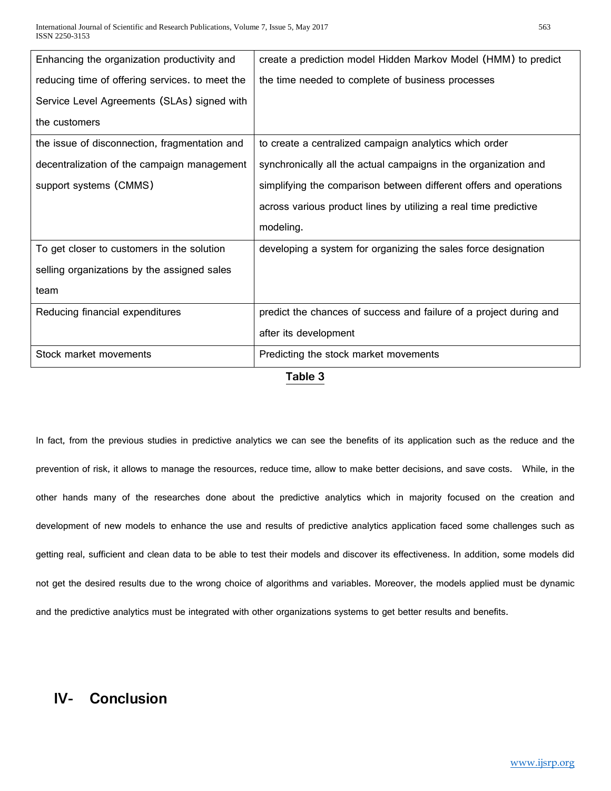| Enhancing the organization productivity and     | create a prediction model Hidden Markov Model (HMM) to predict     |  |
|-------------------------------------------------|--------------------------------------------------------------------|--|
| reducing time of offering services. to meet the | the time needed to complete of business processes                  |  |
| Service Level Agreements (SLAs) signed with     |                                                                    |  |
| the customers                                   |                                                                    |  |
| the issue of disconnection, fragmentation and   | to create a centralized campaign analytics which order             |  |
| decentralization of the campaign management     | synchronically all the actual campaigns in the organization and    |  |
| support systems (CMMS)                          | simplifying the comparison between different offers and operations |  |
|                                                 | across various product lines by utilizing a real time predictive   |  |
|                                                 | modeling.                                                          |  |
| To get closer to customers in the solution      | developing a system for organizing the sales force designation     |  |
| selling organizations by the assigned sales     |                                                                    |  |
| team                                            |                                                                    |  |
| Reducing financial expenditures                 | predict the chances of success and failure of a project during and |  |
|                                                 | after its development                                              |  |
| Stock market movements                          | Predicting the stock market movements                              |  |
| Table 3                                         |                                                                    |  |

In fact, from the previous studies in predictive analytics we can see the benefits of its application such as the reduce and the prevention of risk, it allows to manage the resources, reduce time, allow to make better decisions, and save costs. While, in the other hands many of the researches done about the predictive analytics which in majority focused on the creation and development of new models to enhance the use and results of predictive analytics application faced some challenges such as getting real, sufficient and clean data to be able to test their models and discover its effectiveness. In addition, some models did not get the desired results due to the wrong choice of algorithms and variables. Moreover, the models applied must be dynamic and the predictive analytics must be integrated with other organizations systems to get better results and benefits.

## **IV- Conclusion**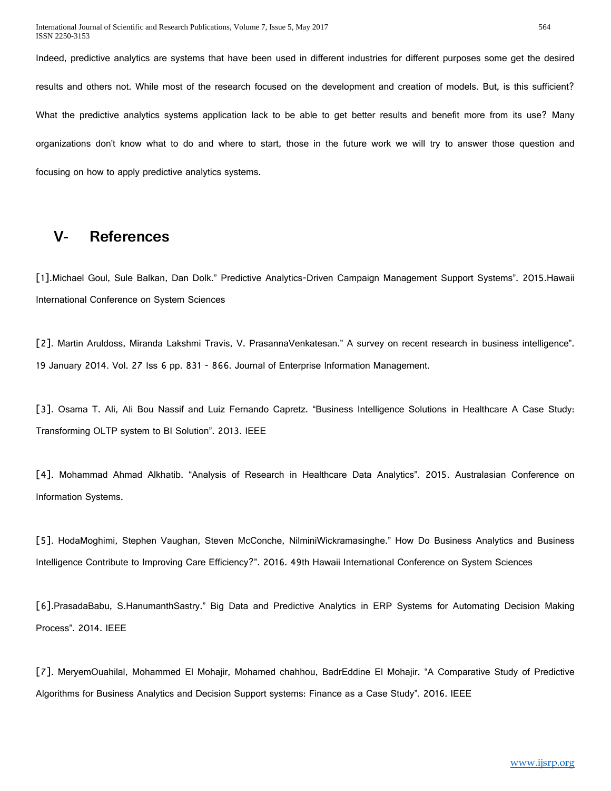Indeed, predictive analytics are systems that have been used in different industries for different purposes some get the desired results and others not. While most of the research focused on the development and creation of models. But, is this sufficient? What the predictive analytics systems application lack to be able to get better results and benefit more from its use? Many organizations don't know what to do and where to start, those in the future work we will try to answer those question and focusing on how to apply predictive analytics systems.

### **V- References**

[1].Michael Goul, Sule Balkan, Dan Dolk." Predictive Analytics-Driven Campaign Management Support Systems". 2015.Hawaii International Conference on System Sciences

[2]. Martin Aruldoss, Miranda Lakshmi Travis, V. PrasannaVenkatesan." A survey on recent research in business intelligence". 19 January 2014. Vol. 27 Iss 6 pp. 831 - 866. Journal of Enterprise Information Management.

[3]. Osama T. Ali, Ali Bou Nassif and Luiz Fernando Capretz. "Business Intelligence Solutions in Healthcare A Case Study: Transforming OLTP system to BI Solution". 2013. IEEE

[4]. Mohammad Ahmad Alkhatib. "Analysis of Research in Healthcare Data Analytics". 2015. Australasian Conference on Information Systems.

[5]. HodaMoghimi, Stephen Vaughan, Steven McConche, NilminiWickramasinghe." How Do Business Analytics and Business Intelligence Contribute to Improving Care Efficiency?". 2016. 49th Hawaii International Conference on System Sciences

[6].PrasadaBabu, S.HanumanthSastry." Big Data and Predictive Analytics in ERP Systems for Automating Decision Making Process". 2014. IEEE

[7]. MeryemOuahilal, Mohammed El Mohajir, Mohamed chahhou, BadrEddine El Mohajir. "A Comparative Study of Predictive Algorithms for Business Analytics and Decision Support systems: Finance as a Case Study". 2016. IEEE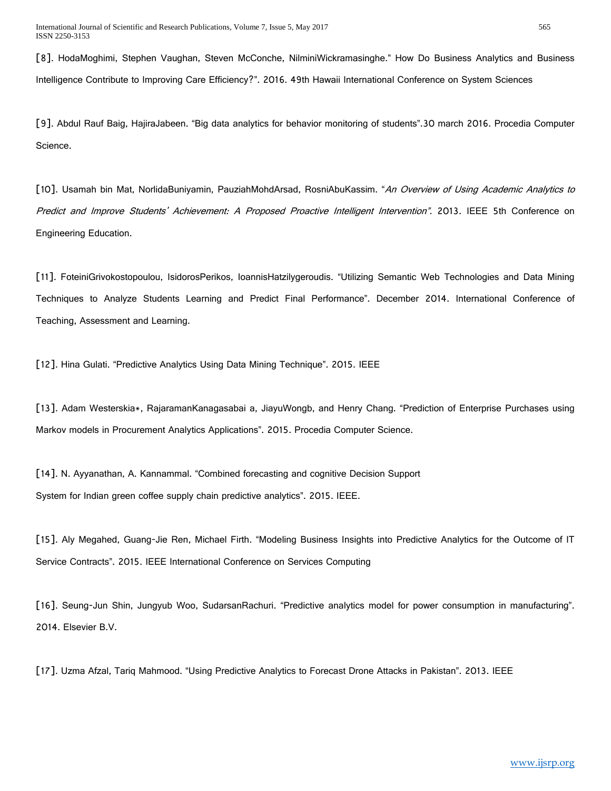[8]. HodaMoghimi, Stephen Vaughan, Steven McConche, NilminiWickramasinghe." How Do Business Analytics and Business Intelligence Contribute to Improving Care Efficiency?". 2016. 49th Hawaii International Conference on System Sciences

[9]. Abdul Rauf Baig, HajiraJabeen. "Big data analytics for behavior monitoring of students".30 march 2016. Procedia Computer Science.

[10]. Usamah bin Mat, NorlidaBuniyamin, PauziahMohdArsad, RosniAbuKassim. "An Overview of Using Academic Analytics to Predict and Improve Students' Achievement: A Proposed Proactive Intelligent Intervention". 2013. IEEE 5th Conference on Engineering Education.

[11]. FoteiniGrivokostopoulou, IsidorosPerikos, IoannisHatzilygeroudis. "Utilizing Semantic Web Technologies and Data Mining Techniques to Analyze Students Learning and Predict Final Performance". December 2014. International Conference of Teaching, Assessment and Learning.

[12]. Hina Gulati. "Predictive Analytics Using Data Mining Technique". 2015. IEEE

[13]. Adam Westerskia\*, RajaramanKanagasabai a, JiayuWongb, and Henry Chang. "Prediction of Enterprise Purchases using Markov models in Procurement Analytics Applications". 2015. Procedia Computer Science.

[14]. N. Ayyanathan, A. Kannammal. "Combined forecasting and cognitive Decision Support System for Indian green coffee supply chain predictive analytics". 2015. IEEE.

[15]. Aly Megahed, Guang-Jie Ren, Michael Firth. "Modeling Business Insights into Predictive Analytics for the Outcome of IT Service Contracts". 2015. IEEE International Conference on Services Computing

[16]. Seung-Jun Shin, Jungyub Woo, SudarsanRachuri. "Predictive analytics model for power consumption in manufacturing". 2014. Elsevier B.V.

[17]. Uzma Afzal, Tariq Mahmood. "Using Predictive Analytics to Forecast Drone Attacks in Pakistan". 2013. IEEE